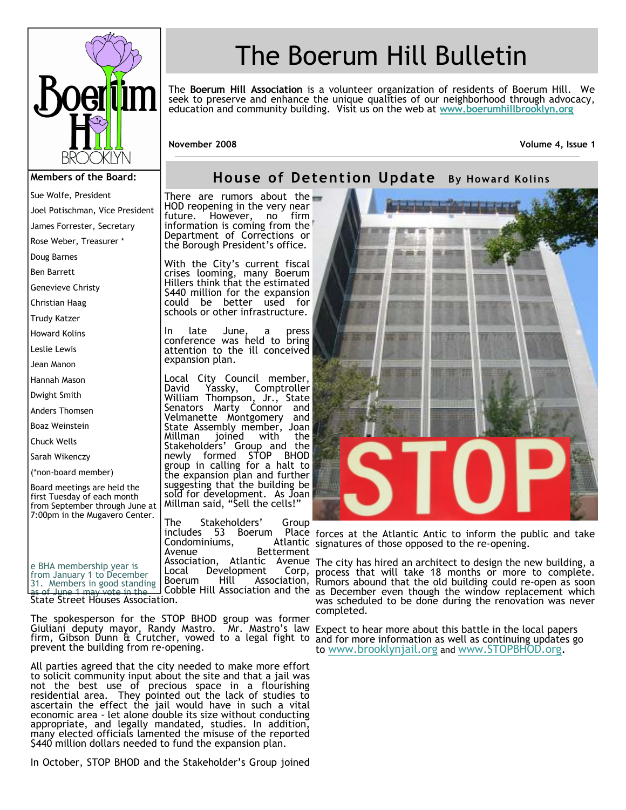

Joel Potischman, Vice President James Forrester, Secretary Rose Weber, Treasurer \*

Sue Wolfe, President

Doug Barnes Ben Barrett Genevieve Christy Christian Haag Trudy Katzer Howard Kolins Leslie Lewis Jean Manon Hannah Mason Dwight Smith Anders Thomsen Boaz Weinstein Chuck Wells Sarah Wikenczy (\*non-board member)

# The Boerum Hill Bulletin

The **Boerum Hill Association** is a volunteer organization of residents of Boerum Hill. We seek to preserve and enhance the unique qualities of our neighborhood through advocacy, education and community building. Visit us on the web at **www.boerumhillbrooklyn.org**

**November 2008 Volume 4, Issue 1** 

### **House of Detention Update By Howard Kolins**

There are rumors about the HOD reopening in the very near<br>future. However. no firm however, information is coming from the Department of Corrections or the Borough President's office.

With the City's current fiscal crises looming, many Boerum Hillers think that the estimated \$440 million for the expansion could be better used for schools or other infrastructure.

In late June, a press conference was held to bring attention to the ill conceived expansion plan.

Local City Council member,<br>David Yassky, Comptroller **Comptroller** William Thompson, Jr., State Senators Marty Connor and Velmanette Montgomery and State Assembly member, Joan<br>Millman joined with the joined with the Stakeholders' Group and the<br>newly formed STOP BHOD newly formed STOP group in calling for a halt to the expansion plan and further suggesting that the building be sold for development. As Joan Millman said, "Sell the cells!"

The Stakeholders' Group includes 53 Boerum Condominiums,<br>Avenue **Betterment** Local Development Corp,<br>Boerum Hill Association, Association,

Place forces at the Atlantic Antic to inform the public and take Atlantic signatures of those opposed to the re-opening.

Association, Atlantic Avenue The city has hired an architect to design the new building, a Cobble Hill Association and the as December even though the window replacement which process that will take 18 months or more to complete. Rumors abound that the old building could re-open as soon was scheduled to be done during the renovation was never completed.

> Expect to hear more about this battle in the local papers and for more information as well as continuing updates go to www.brooklynjail.org and www.STOPBHOD.org.

June 1 may vote in the State Street Houses Association.

Board meetings are held the first Tuesday of each month from September through June at 7:00pm in the Mugavero Center.

e BHA membership year is from January 1 to December 31. Members in good standing

The spokesperson for the STOP BHOD group was former Giuliani deputy mayor, Randy Mastro. Mr. Mastro's law firm, Gibson Dunn & Crutcher, vowed to a legal fight to prevent the building from re-opening.

All parties agreed that the city needed to make more effort to solicit community input about the site and that a jail was not the best use of precious space in a flourishing residential area. They pointed out the lack of studies to ascertain the effect the jail would have in such a vital economic area - let alone double its size without conducting appropriate, and legally mandated, studies. In addition, many elected officials lamented the misuse of the reported \$440 million dollars needed to fund the expansion plan.

In October, STOP BHOD and the Stakeholder's Group joined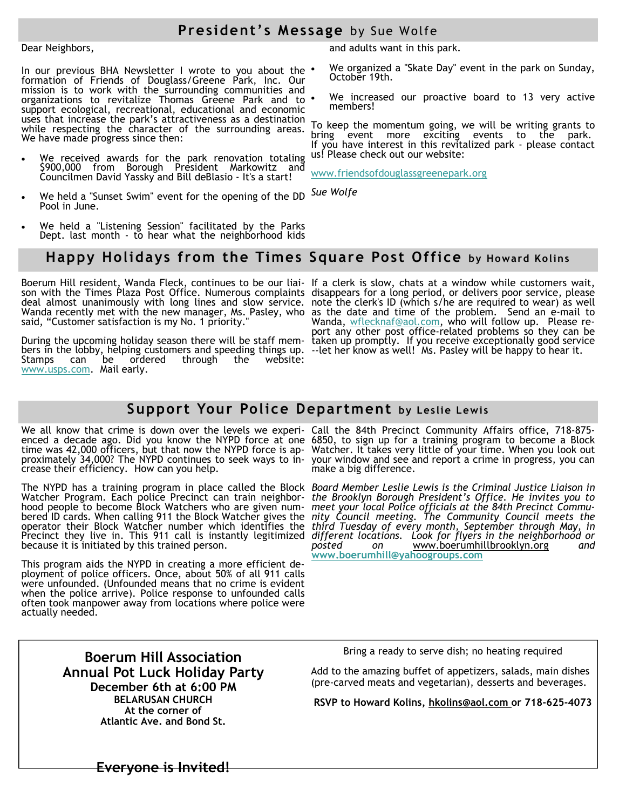## **President's Message** by Sue Wolfe

#### Dear Neighbors,

In our previous BHA Newsletter I wrote to you about the formation of Friends of Douglass/Greene Park, Inc. Our mission is to work with the surrounding communities and organizations to revitalize Thomas Greene Park and to support ecological, recreational, educational and economic uses that increase the park's attractiveness as a destination while respecting the character of the surrounding areas. We have made progress since then:

- We received awards for the park renovation totaling \$900,000 from Borough President Markowitz and Councilmen David Yassky and Bill deBlasio - It's a start!
- We held a "Sunset Swim" event for the opening of the DD Pool in June.
- We held a "Listening Session" facilitated by the Parks Dept. last month - to hear what the neighborhood kids

and adults want in this park.

- We organized a "Skate Day" event in the park on Sunday, October 19th.
- We increased our proactive board to 13 very active members!

To keep the momentum going, we will be writing grants to bring event more exciting events to the park. If you have interest in this revitalized park - please contact us! Please check out our website:

www.friendsofdouglassgreenepark.org

*Sue Wolfe* 

#### **Happy Holidays from the Times Square Post Office by Howard Kolins**

Boerum Hill resident, Wanda Fleck, continues to be our liaison with the Times Plaza Post Office. Numerous complaints deal almost unanimously with long lines and slow service. Wanda recently met with the new manager, Ms. Pasley, who said, "Customer satisfaction is my No. 1 priority."

During the upcoming holiday season there will be staff members in the lobby, helping customers and speeding things up. Stamps can be ordered through the website: www.usps.com. Mail early.

If a clerk is slow, chats at a window while customers wait, disappears for a long period, or delivers poor service, please note the clerk's ID (which s/he are required to wear) as well as the date and time of the problem. Send an e-mail to Wanda, wflecknaf@aol.com, who will follow up. Please report any other post office-related problems so they can be taken up promptly. If you receive exceptionally good service --let her know as well! Ms. Pasley will be happy to hear it.

### **Support Your Police Department by Leslie Lewis**

We all know that crime is down over the levels we experi-Call the 84th Precinct Community Affairs office, 718-875 crease their efficiency. How can you help.

The NYPD has a training program in place called the Block *Board Member Leslie Lewis is the Criminal Justice Liaison in*  Watcher Program. Each police Precinct can train neighborhood people to become Block Watchers who are given numbered ID cards. When calling 911 the Block Watcher gives the operator their Block Watcher number which identifies the Precinct they live in. This 911 call is instantly legitimized because it is initiated by this trained person.

This program aids the NYPD in creating a more efficient deployment of police officers. Once, about 50% of all 911 calls were unfounded. (Unfounded means that no crime is evident when the police arrive). Police response to unfounded calls often took manpower away from locations where police were actually needed.

enced a decade ago. Did you know the NYPD force at one 6850, to sign up for a training program to become a Block time was 42,000 officers, but that now the NYPD force is ap-Watcher. It takes very little of your time. When you look out proximately 34,000? The NYPD continues to seek ways to in-your window and see and report a crime in progress, you can make a big difference.

> *the Brooklyn Borough President's Office. He invites you to meet your local Police officials at the 84th Precinct Community Council meeting. The Community Council meets the third Tuesday of every month, September through May, in different locations. Look for flyers in the neighborhood or posted on* www.boerumhillbrooklyn.org *and*  **www.boerumhill@yahoogroups.com**

**Boerum Hill Association Annual Pot Luck Holiday Party December 6th at 6:00 PM BELARUSAN CHURCH At the corner of Atlantic Ave. and Bond St.**

Bring a ready to serve dish; no heating required

Add to the amazing buffet of appetizers, salads, main dishes (pre-carved meats and vegetarian), desserts and beverages.

**RSVP to Howard Kolins, hkolins@aol.com or 718-625-4073** 

**Everyone is Invited!**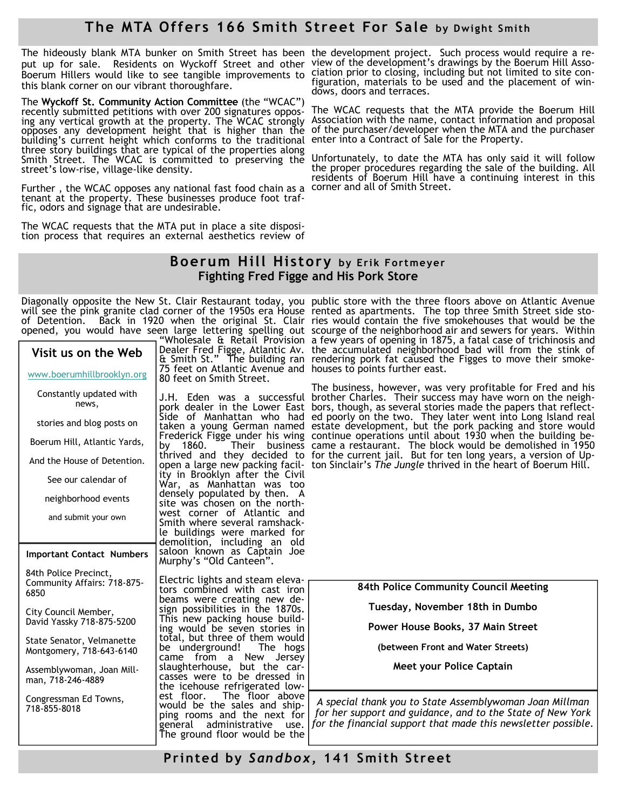# **The MTA Offers 166 Smith Street For Sale by Dwight Smith**

The hideously blank MTA bunker on Smith Street has been the development project. Such process would require a reput up for sale. Residents on Wyckoff Street and other view of the development's drawings by the Boerum Hill Asso-Boerum Hillers would like to see tangible improvements to this blank corner on our vibrant thoroughfare.

The **Wyckoff St. Community Action Committee** (the "WCAC") recently submitted petitions with over 200 signatures oppos- The WCAC requests that the MTA provide the Boerum Hill ing any vertical growth at the property. The WCAC strongly opposes any development height that is higher than the building's current height which conforms to the traditional enter into a Contract of Sale for the Property. three story buildings that are typical of the properties along Smith Street. The WCAC is committed to preserving the street's low-rise, village-like density.

Further , the WCAC opposes any national fast food chain as a corner and all of Smith Street. tenant at the property. These businesses produce foot traffic, odors and signage that are undesirable.

The WCAC requests that the MTA put in place a site disposition process that requires an external aesthetics review of

ciation prior to closing, including but not limited to site configuration, materials to be used and the placement of windows, doors and terraces.

Association with the name, contact information and proposal of the purchaser/developer when the MTA and the purchaser

Unfortunately, to date the MTA has only said it will follow the proper procedures regarding the sale of the building. All residents of Boerum Hill have a continuing interest in this

#### **Boerum Hill History by Erik Fortmeyer Fighting Fred Figge and His Pork Store**

Diagonally opposite the New St. Clair Restaurant today, you will see the pink granite clad corner of the 1950s era House "Wholesale & Retail Provision

| Visit us on the Web<br>www.boerumhillbrooklyn.org            | Dealer Fred Figge, Atlantic Av.<br>& Smith St." The building ran<br>75 feet on Atlantic Avenue and<br>80 feet on Smith Street.                                     |
|--------------------------------------------------------------|--------------------------------------------------------------------------------------------------------------------------------------------------------------------|
| Constantly updated with<br>news,                             | J.H. Eden was a successful<br>pork dealer in the Lower East                                                                                                        |
| stories and blog posts on                                    | Side<br>of Manhattan who<br>had<br>taken a young German named                                                                                                      |
| Boerum Hill, Atlantic Yards,                                 | Frederick Figge under his wing<br>by<br>1860.<br>Their<br>business                                                                                                 |
| And the House of Detention.                                  | thrived and they decided to<br>open a large new packing facil-                                                                                                     |
| See our calendar of                                          | ity in Brooklyn after the Civil<br>War, as Manhattan was too                                                                                                       |
| neighborhood events                                          | densely populated by then.<br>A<br>site was chosen on the north-                                                                                                   |
| and submit your own                                          | west corner of Atlantic<br>and<br>Smith where several ramshack-                                                                                                    |
|                                                              | le buildings were marked for<br>demolition, including an<br>old                                                                                                    |
| <b>Important Contact Numbers</b>                             | saloon known as Captain Joe<br>Murphy's "Old Canteen".                                                                                                             |
| 84th Police Precinct,<br>Community Affairs: 718-875-<br>6850 | Electric lights and steam eleva-<br>tors combined with cast iron<br>beams were creating new de-                                                                    |
| City Council Member,<br>David Yassky 718-875-5200            | sign possibilities in the 1870s.<br>This new packing house build-<br>ing would be seven stories in                                                                 |
| State Senator, Velmanette<br>Montgomery, 718-643-6140        | total, but three of them would<br>be underground! The<br>hogs<br>New<br>from a<br>Jersey<br>came                                                                   |
| Assemblywoman, Joan Mill-<br>man, 718-246-4889               | slaughterhouse, but the car-<br>casses were to be dressed in<br>the icehouse refrigerated low-                                                                     |
| Congressman Ed Towns,<br>718-855-8018                        | est floor.<br>The floor above<br>would be the sales and ship-<br>ping rooms and the next for<br>administrative<br>general<br>use.<br>The ground floor would be the |

of Detention. Back in 1920 when the original St. Clair ries would contain the five smokehouses that would be the opened, you would have seen large lettering spelling out scourge of the neighborhood air and sewers for years. Within & Smith St." The building ran rendering pork fat caused the Figges to move their smoke-75 feet on Atlantic Avenue and houses to points further east. public store with the three floors above on Atlantic Avenue rented as apartments. The top three Smith Street side stoa few years of opening in 1875, a fatal case of trichinosis and the accumulated neighborhood bad will from the stink of

> J.H. Eden was a successful brother Charles. Their success may have worn on the neighpork dealer in the Lower East bors, though, as several stories made the papers that reflect-Side of Manhattan who had ed poorly on the two. They later went into Long Island real thrived and they decided to for the current jail. But for ten long years, a version of Upopen a large new packing facil- ton Sinclair's *The Jungle* thrived in the heart of Boerum Hill. The business, however, was very profitable for Fred and his estate development, but the pork packing and store would continue operations until about 1930 when the building became a restaurant. The block would be demolished in 1950

> > **84th Police Community Council Meeting**

**Tuesday, November 18th in Dumbo** 

**Power House Books, 37 Main Street** 

**(between Front and Water Streets)** 

**Meet your Police Captain** 

*A special thank you to State Assemblywoman Joan Millman for her support and guidance, and to the State of New York for the financial support that made this newsletter possible.* 

**Printed by** *S an dbo x***, 141 Smith Street**